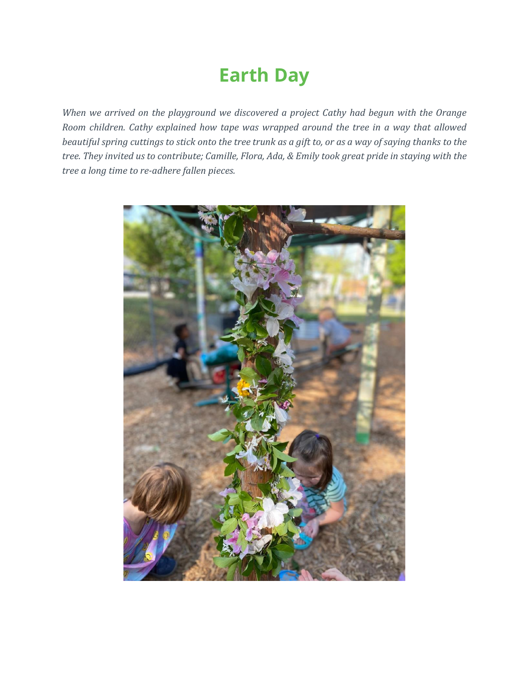## **Earth Day**

*When we arrived on the playground we discovered a project Cathy had begun with the Orange Room children. Cathy explained how tape was wrapped around the tree in a way that allowed* beautiful spring cuttings to stick onto the tree trunk as a gift to, or as a way of saying thanks to the tree. They invited us to contribute; Camille, Flora, Ada, & Emily took great pride in staying with the *tree a long time to re-adhere fallen pieces.*

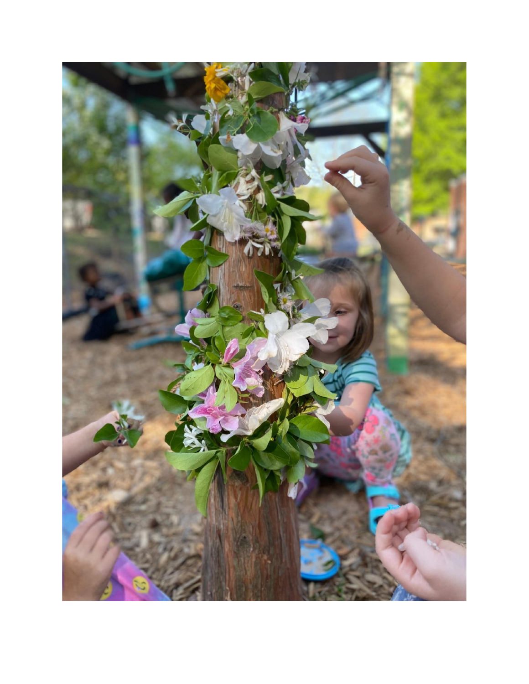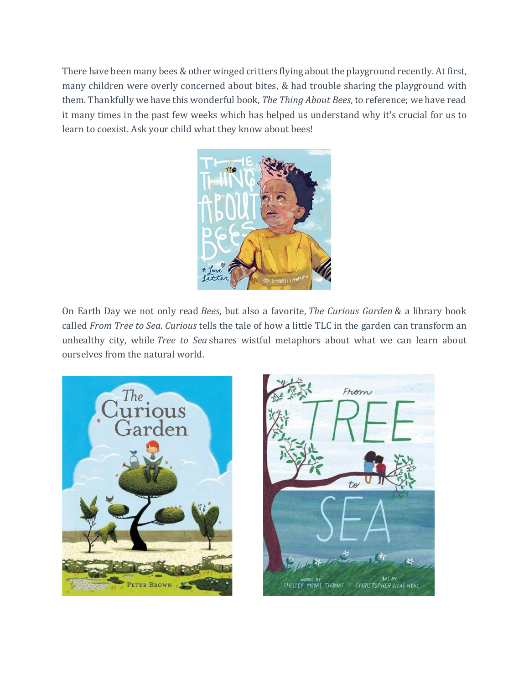There have been many bees & other winged critters flying about the playground recently. At first, many children were overly concerned about bites, & had trouble sharing the playground with them. Thankfully we have this wonderful book, *The Thing About Bees*, to reference; we have read it many times in the past few weeks which has helped us understand why it's crucial for us to learn to coexist. Ask your child what they know about bees!



On Earth Day we not only read *Bees*, but also a favorite, *The Curious Garden* & a library book called *From Tree to Sea*. *Curious* tells the tale of how a little TLC in the garden can transform an unhealthy city, while *Tree to Sea* shares wistful metaphors about what we can learn about ourselves from the natural world.